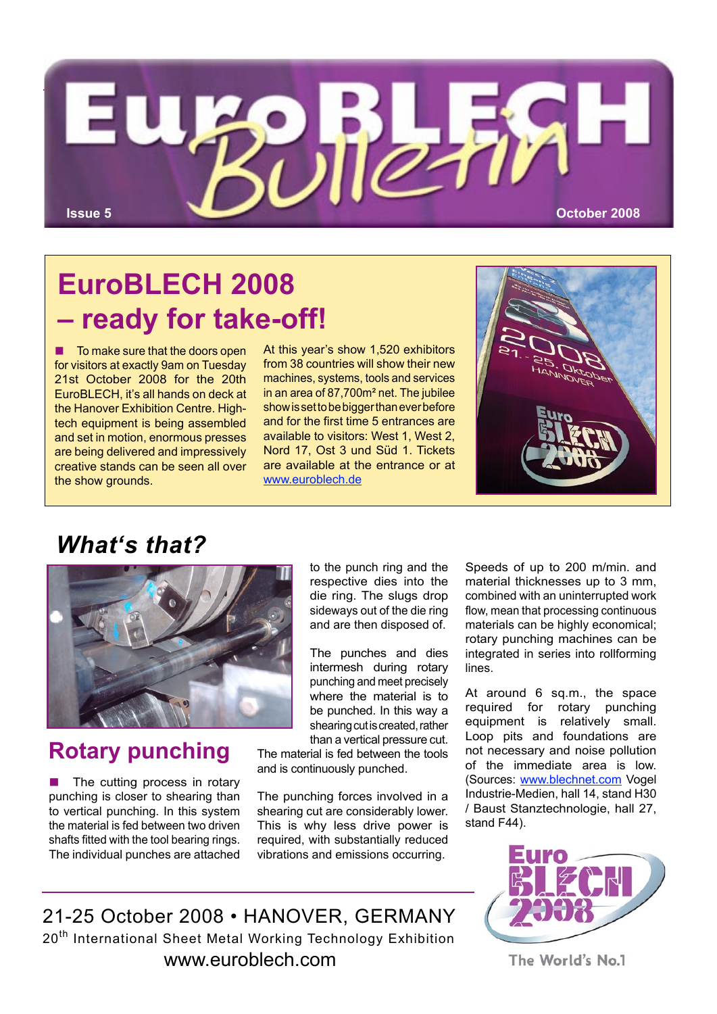

## **EuroBLECH 2008 – ready for take-off!**

 $\blacksquare$  To make sure that the doors open for visitors at exactly 9am on Tuesday 21st October 2008 for the 20th EuroBLECH, it's all hands on deck at the Hanover Exhibition Centre. Hightech equipment is being assembled and set in motion, enormous presses are being delivered and impressively creative stands can be seen all over the show grounds.

At this year's show 1,520 exhibitors from 38 countries will show their new machines, systems, tools and services in an area of 87,700m² net. The jubilee show is set to be bigger than ever before and for the first time 5 entrances are available to visitors: West 1, West 2, Nord 17, Ost 3 und Süd 1. Tickets are available at the entrance or at www.euroblech.de



### *What's that?*



#### **Rotary punching**

 $\blacksquare$  The cutting process in rotary punching is closer to shearing than to vertical punching. In this system the material is fed between two driven shafts fitted with the tool bearing rings. The individual punches are attached to the punch ring and the respective dies into the die ring. The slugs drop sideways out of the die ring and are then disposed of.

The punches and dies intermesh during rotary punching and meet precisely where the material is to be punched. In this way a shearing cut is created, rather than a vertical pressure cut.

The material is fed between the tools and is continuously punched.

The punching forces involved in a shearing cut are considerably lower. This is why less drive power is required, with substantially reduced vibrations and emissions occurring.

Speeds of up to 200 m/min. and material thicknesses up to 3 mm, combined with an uninterrupted work flow, mean that processing continuous materials can be highly economical; rotary punching machines can be integrated in series into rollforming lines.

At around 6 sq.m., the space required for rotary punching equipment is relatively small. Loop pits and foundations are not necessary and noise pollution of the immediate area is low. (Sources: www.blechnet.com Vogel Industrie-Medien, hall 14, stand H30 / Baust Stanztechnologie, hall 27, stand F44).



The World's No.1

21-25 October 2008 • HANOVER, GERMANY 20<sup>th</sup> International Sheet Metal Working Technology Exhibition www.euroblech.com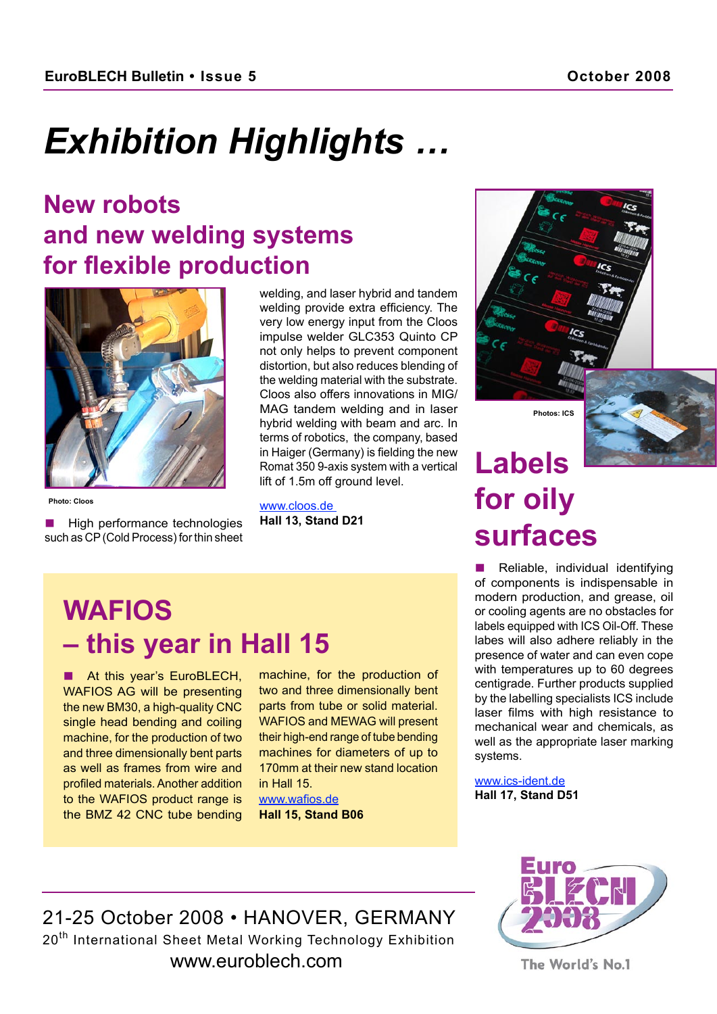# *Exhibition Highlights …*

### **New robots and new welding systems for flexible production**



**Photo: Cloos**

High performance technologies such as CP (Cold Process) for thin sheet

welding, and laser hybrid and tandem welding provide extra efficiency. The very low energy input from the Cloos impulse welder GLC353 Quinto CP not only helps to prevent component distortion, but also reduces blending of the welding material with the substrate. Cloos also offers innovations in MIG/ MAG tandem welding and in laser hybrid welding with beam and arc. In terms of robotics, the company, based in Haiger (Germany) is fielding the new Romat 350 9-axis system with a vertical lift of 1.5m off ground level.

www.cloos.de **Hall 13, Stand D21**

## **Labels for oily surfaces**

**Photos: ICS**

Reliable, individual identifying of components is indispensable in modern production, and grease, oil or cooling agents are no obstacles for labels equipped with ICS Oil-Off. These labes will also adhere reliably in the presence of water and can even cope with temperatures up to 60 degrees centigrade. Further products supplied by the labelling specialists ICS include laser films with high resistance to mechanical wear and chemicals, as well as the appropriate laser marking systems.

www.ics-ident.de **Hall 17, Stand D51**

## **WAFIOS – this year in Hall 15**

At this year's EuroBLECH, WAFIOS AG will be presenting the new BM30, a high-quality CNC single head bending and coiling machine, for the production of two and three dimensionally bent parts as well as frames from wire and profiled materials. Another addition to the WAFIOS product range is the BMZ 42 CNC tube bending machine, for the production of two and three dimensionally bent parts from tube or solid material. WAFIOS and MEWAG will present their high-end range of tube bending machines for diameters of up to 170mm at their new stand location in Hall 15.

www.wafios.de **Hall 15, Stand B06**



21-25 October 2008 • HANOVER, GERMANY 20<sup>th</sup> International Sheet Metal Working Technology Exhibition www.euroblech.com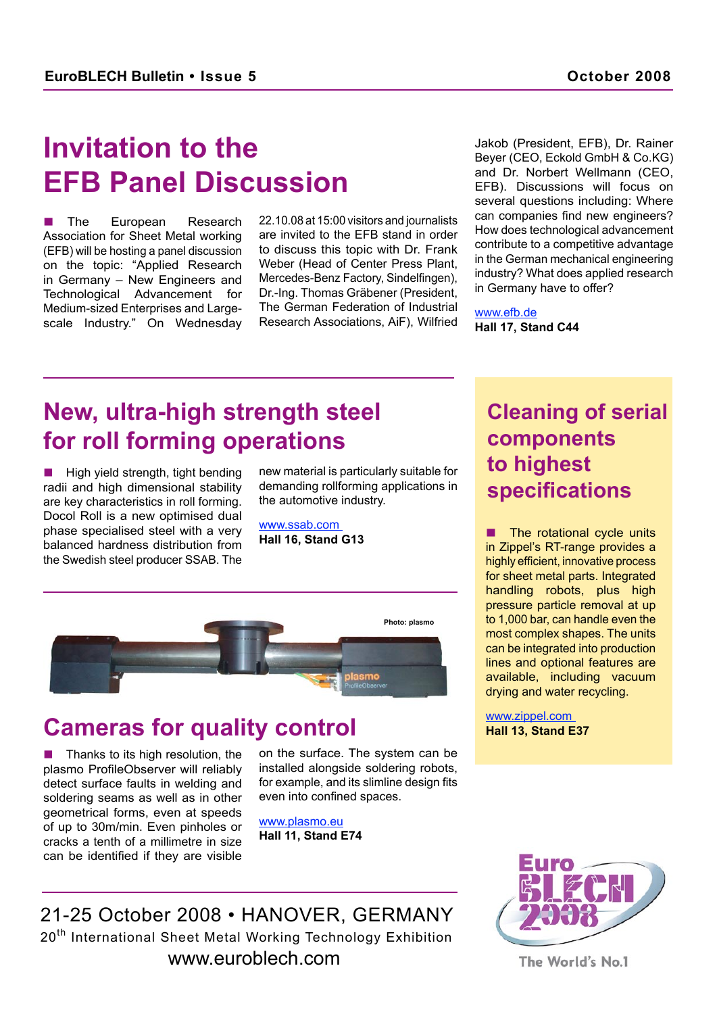## **Invitation to the EFB Panel Discussion**

**n** The European Research Association for Sheet Metal working (EFB) will be hosting a panel discussion on the topic: "Applied Research in Germany – New Engineers and Technological Advancement for Medium-sized Enterprises and Largescale Industry." On Wednesday 22.10.08 at 15:00 visitors and journalists are invited to the EFB stand in order to discuss this topic with Dr. Frank Weber (Head of Center Press Plant, Mercedes-Benz Factory, Sindelfingen), Dr.-Ing. Thomas Gräbener (President, The German Federation of Industrial Research Associations, AiF), Wilfried Jakob (President, EFB), Dr. Rainer Beyer (CEO, Eckold GmbH & Co.KG) and Dr. Norbert Wellmann (CEO, EFB). Discussions will focus on several questions including: Where can companies find new engineers? How does technological advancement contribute to a competitive advantage in the German mechanical engineering industry? What does applied research in Germany have to offer?

www.efb.de **Hall 17, Stand C44**

### **New, ultra-high strength steel for roll forming operations**

High yield strength, tight bending radii and high dimensional stability are key characteristics in roll forming. Docol Roll is a new optimised dual phase specialised steel with a very balanced hardness distribution from the Swedish steel producer SSAB. The

new material is particularly suitable for demanding rollforming applications in the automotive industry.

www.ssab.com **Hall 16, Stand G13**



#### **Cameras for quality control**

Thanks to its high resolution, the plasmo ProfileObserver will reliably detect surface faults in welding and soldering seams as well as in other geometrical forms, even at speeds of up to 30m/min. Even pinholes or cracks a tenth of a millimetre in size can be identified if they are visible

on the surface. The system can be installed alongside soldering robots, for example, and its slimline design fits even into confined spaces.

www.plasmo.eu **Hall 11, Stand E74**

#### **Cleaning of serial components to highest specifications**

The rotational cycle units in Zippel's RT-range provides a highly efficient, innovative process for sheet metal parts. Integrated handling robots, plus high pressure particle removal at up to 1,000 bar, can handle even the most complex shapes. The units can be integrated into production lines and optional features are available, including vacuum drying and water recycling.

www.zippel.com **Hall 13, Stand E37**

21-25 October 2008 • HANOVER, GERMANY 20<sup>th</sup> International Sheet Metal Working Technology Exhibition www.euroblech.com

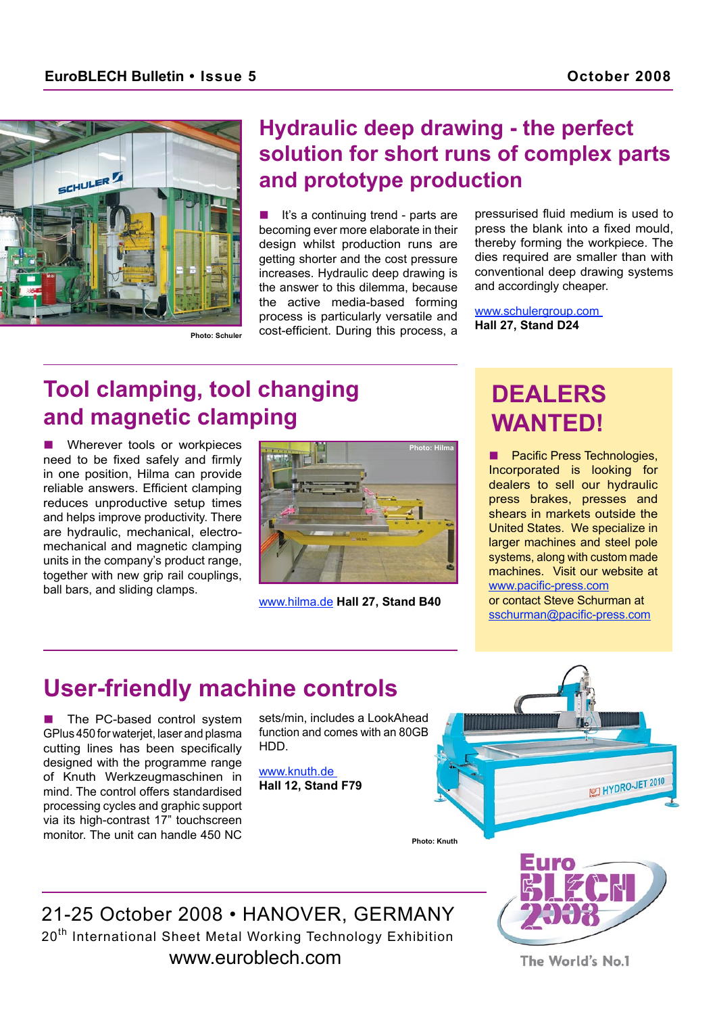

#### **Hydraulic deep drawing - the perfect solution for short runs of complex parts and prototype production**

It's a continuing trend - parts are becoming ever more elaborate in their design whilst production runs are getting shorter and the cost pressure increases. Hydraulic deep drawing is the answer to this dilemma, because the active media-based forming process is particularly versatile and cost-efficient. During this process, a pressurised fluid medium is used to press the blank into a fixed mould, thereby forming the workpiece. The dies required are smaller than with conventional deep drawing systems and accordingly cheaper.

www.schulergroup.com **Hall 27, Stand D24**

### **Tool clamping, tool changing and magnetic clamping**

Wherever tools or workpieces need to be fixed safely and firmly in one position, Hilma can provide reliable answers. Efficient clamping reduces unproductive setup times and helps improve productivity. There are hydraulic, mechanical, electromechanical and magnetic clamping units in the company's product range, together with new grip rail couplings, ball bars, and sliding clamps.



www.hilma.de **Hall 27, Stand B40**

### **DEALERS WANTED!**

**n** Pacific Press Technologies, Incorporated is looking for dealers to sell our hydraulic press brakes, presses and shears in markets outside the United States. We specialize in larger machines and steel pole systems, along with custom made machines. Visit our website at www.pacific-press.com or contact Steve Schurman at sschurman@pacific-press.com

### **User-friendly machine controls**

The PC-based control system GPlus 450 for waterjet, laser and plasma cutting lines has been specifically designed with the programme range of Knuth Werkzeugmaschinen in mind. The control offers standardised processing cycles and graphic support via its high-contrast 17" touchscreen monitor. The unit can handle 450 NC

sets/min, includes a LookAhead function and comes with an 80GB HDD.

www.knuth.de **Hall 12, Stand F79**



21-25 October 2008 • HANOVER, GERMANY 20<sup>th</sup> International Sheet Metal Working Technology Exhibition www.euroblech.com

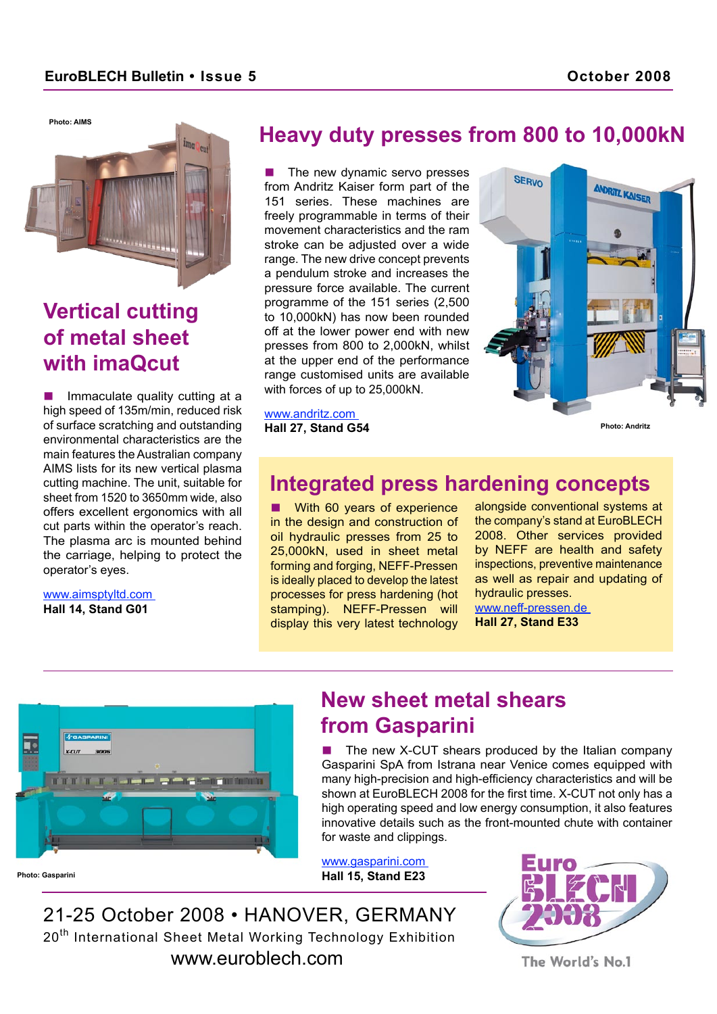**Photo: AIMS**



#### **Vertical cutting of metal sheet with imaQcut**

Immaculate quality cutting at a high speed of 135m/min, reduced risk of surface scratching and outstanding environmental characteristics are the main features the Australian company AIMS lists for its new vertical plasma cutting machine. The unit, suitable for sheet from 1520 to 3650mm wide, also offers excellent ergonomics with all cut parts within the operator's reach. The plasma arc is mounted behind the carriage, helping to protect the operator's eyes.

www.aimsptyltd.com **Hall 14, Stand G01**

#### **Heavy duty presses from 800 to 10,000kN**

The new dynamic servo presses from Andritz Kaiser form part of the 151 series. These machines are freely programmable in terms of their movement characteristics and the ram stroke can be adjusted over a wide range. The new drive concept prevents a pendulum stroke and increases the pressure force available. The current programme of the 151 series (2,500 to 10,000kN) has now been rounded off at the lower power end with new presses from 800 to 2,000kN, whilst at the upper end of the performance range customised units are available with forces of up to 25,000kN.

www.andritz.com **Hall 27, Stand G54**



**Photo: Andritz**

#### **Integrated press hardening concepts**

**No With 60 years of experience** in the design and construction of oil hydraulic presses from 25 to 25,000kN, used in sheet metal forming and forging, NEFF-Pressen is ideally placed to develop the latest processes for press hardening (hot stamping). NEFF-Pressen will display this very latest technology

alongside conventional systems at the company's stand at EuroBLECH 2008. Other services provided by NEFF are health and safety inspections, preventive maintenance as well as repair and updating of hydraulic presses. www.neff-pressen.de

**Hall 27, Stand E33**



#### **New sheet metal shears from Gasparini**

The new X-CUT shears produced by the Italian company Gasparini SpA from Istrana near Venice comes equipped with many high-precision and high-efficiency characteristics and will be shown at EuroBLECH 2008 for the first time. X-CUT not only has a high operating speed and low energy consumption, it also features innovative details such as the front-mounted chute with container for waste and clippings.

www.gasparini.com **Hall 15, Stand E23** 

21-25 October 2008 • HANOVER, GERMANY 20<sup>th</sup> International Sheet Metal Working Technology Exhibition www.euroblech.com

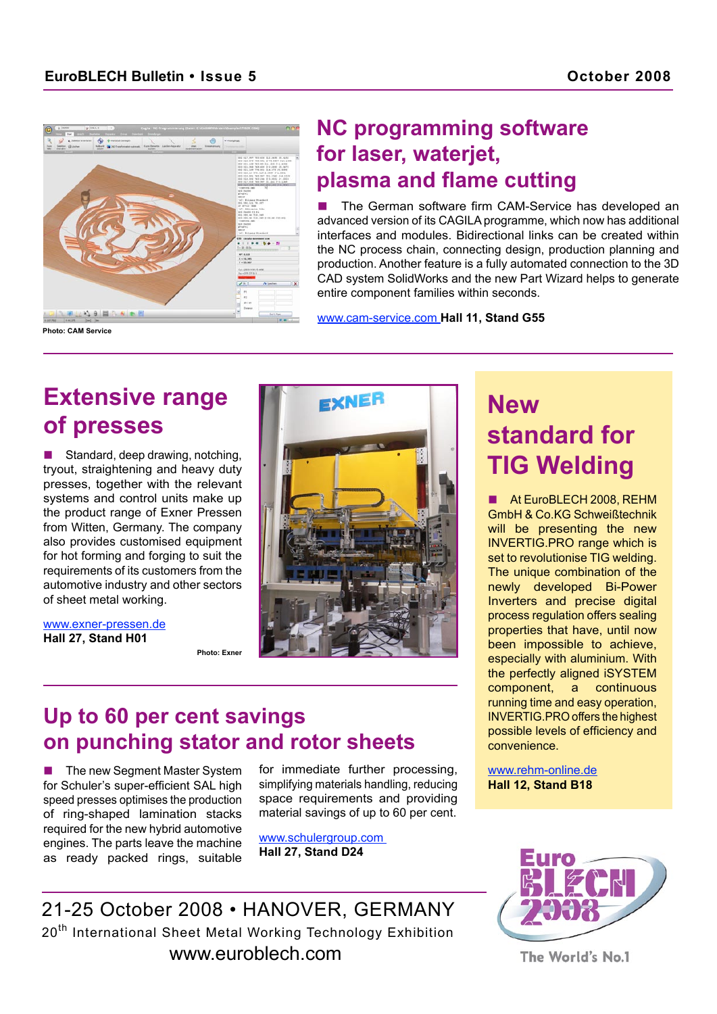

#### **NC programming software for laser, waterjet, plasma and flame cutting**

The German software firm CAM-Service has developed an advanced version of its CAGILA programme, which now has additional interfaces and modules. Bidirectional links can be created within the NC process chain, connecting design, production planning and production. Another feature is a fully automated connection to the 3D CAD system SolidWorks and the new Part Wizard helps to generate entire component families within seconds.

www.cam-service.com **Hall 11, Stand G55**

### **Extensive range of presses**

Standard, deep drawing, notching, tryout, straightening and heavy duty presses, together with the relevant systems and control units make up the product range of Exner Pressen from Witten, Germany. The company also provides customised equipment for hot forming and forging to suit the requirements of its customers from the automotive industry and other sectors of sheet metal working.

www.exner-pressen.de **Hall 27, Stand H01**



#### **Photo: Exner**

### **Up to 60 per cent savings on punching stator and rotor sheets**

21-25 October 2008 • HANOVER, GERMANY 20<sup>th</sup> International Sheet Metal Working Technology Exhibition www.euroblech.com

■ The new Segment Master System for Schuler's super-efficient SAL high speed presses optimises the production of ring-shaped lamination stacks required for the new hybrid automotive engines. The parts leave the machine as ready packed rings, suitable

for immediate further processing, simplifying materials handling, reducing space requirements and providing material savings of up to 60 per cent.

www.schulergroup.com **Hall 27, Stand D24**

The World's No.1

### **New standard for TIG Welding**

At EuroBLECH 2008, REHM GmbH & Co.KG Schweißtechnik will be presenting the new INVERTIG.PRO range which is set to revolutionise TIG welding. The unique combination of the newly developed Bi-Power Inverters and precise digital process regulation offers sealing properties that have, until now been impossible to achieve, especially with aluminium. With the perfectly aligned iSYSTEM component, a continuous running time and easy operation, INVERTIG.PRO offers the highest possible levels of efficiency and convenience.

www.rehm-online.de **Hall 12, Stand B18**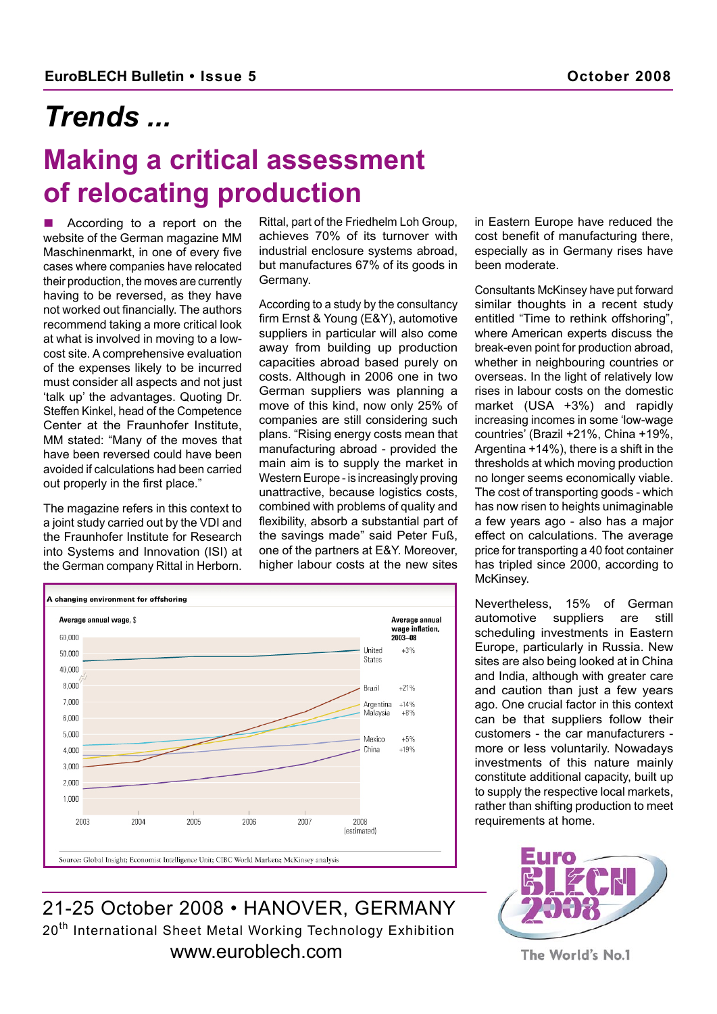## *Trends ...*

## **Making a critical assessment of relocating production**

According to a report on the website of the German magazine MM Maschinenmarkt, in one of every five cases where companies have relocated their production, the moves are currently having to be reversed, as they have not worked out financially. The authors recommend taking a more critical look at what is involved in moving to a lowcost site. A comprehensive evaluation of the expenses likely to be incurred must consider all aspects and not just 'talk up' the advantages. Quoting Dr. Steffen Kinkel, head of the Competence Center at the Fraunhofer Institute, MM stated: "Many of the moves that have been reversed could have been avoided if calculations had been carried out properly in the first place."

The magazine refers in this context to a joint study carried out by the VDI and the Fraunhofer Institute for Research into Systems and Innovation (ISI) at the German company Rittal in Herborn.

Rittal, part of the Friedhelm Loh Group, achieves 70% of its turnover with industrial enclosure systems abroad, but manufactures 67% of its goods in Germany.

According to a study by the consultancy firm Ernst & Young (E&Y), automotive suppliers in particular will also come away from building up production capacities abroad based purely on costs. Although in 2006 one in two German suppliers was planning a move of this kind, now only 25% of companies are still considering such plans. "Rising energy costs mean that manufacturing abroad - provided the main aim is to supply the market in Western Europe - is increasingly proving unattractive, because logistics costs, combined with problems of quality and flexibility, absorb a substantial part of the savings made" said Peter Fuß, one of the partners at E&Y. Moreover, higher labour costs at the new sites



Source: Global Insight: Economist Intelligence Unit: CIBC World Markets: McKinsey analysis



in Eastern Europe have reduced the cost benefit of manufacturing there, especially as in Germany rises have been moderate.

Consultants McKinsey have put forward similar thoughts in a recent study entitled "Time to rethink offshoring", where American experts discuss the break-even point for production abroad, whether in neighbouring countries or overseas. In the light of relatively low rises in labour costs on the domestic market (USA +3%) and rapidly increasing incomes in some 'low-wage countries' (Brazil +21%, China +19%, Argentina +14%), there is a shift in the thresholds at which moving production no longer seems economically viable. The cost of transporting goods - which has now risen to heights unimaginable a few years ago - also has a major effect on calculations. The average price for transporting a 40 foot container has tripled since 2000, according to McKinsey.

Nevertheless, 15% of German automotive suppliers are still scheduling investments in Eastern Europe, particularly in Russia. New sites are also being looked at in China and India, although with greater care and caution than just a few years ago. One crucial factor in this context can be that suppliers follow their customers - the car manufacturers more or less voluntarily. Nowadays investments of this nature mainly constitute additional capacity, built up to supply the respective local markets, rather than shifting production to meet requirements at home.



The World's No.1